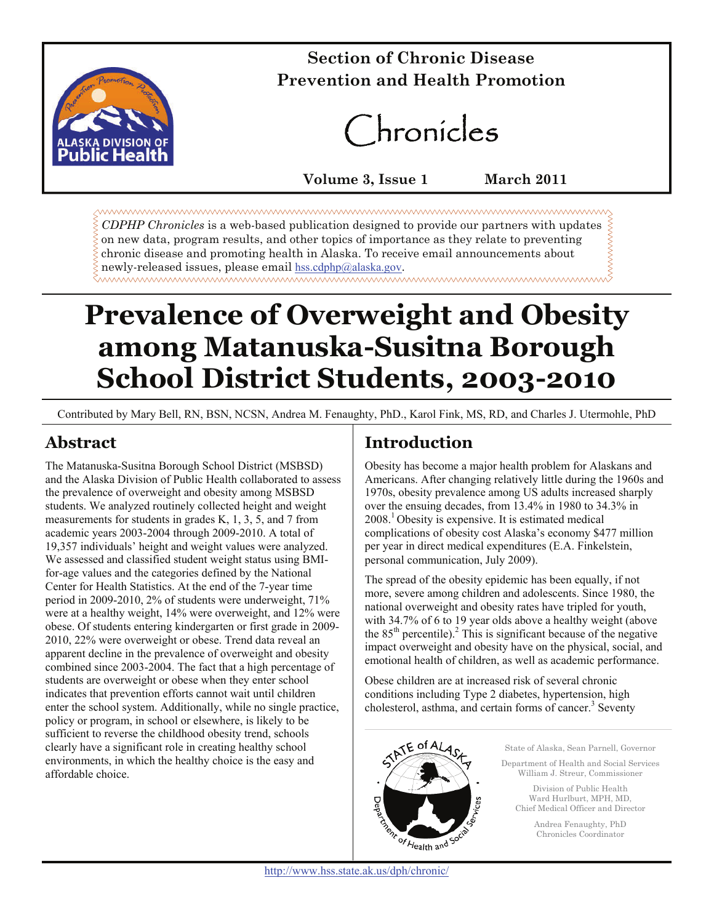

# **CSection of Chronic Disease Prevention and Health Promotion**

# Chronicles

**Volume 3, Issue 1 March 2011** 

*CDPHP Chronicles* is a web-based publication designed to provide our partners with updates on new data, program results, and other topics of importance as they relate to preventing chronic disease and promoting health in Alaska. To receive email announcements about newly-released issues, please email [hss.cdphp@alaska.gov](mailto:cdphp@health.state.ak.us?subject=Contact%20for%20CDPHP%20site).

# **Prevalence of Overweight and Obesity among Matanuska-Susitna Borough School District Students, 2003-2010**

Contributed by Mary Bell, RN, BSN, NCSN, Andrea M. Fenaughty, PhD., Karol Fink, MS, RD, and Charles J. Utermohle, PhD

# **Abstract**

The Matanuska-Susitna Borough School District (MSBSD) and the Alaska Division of Public Health collaborated to assess the prevalence of overweight and obesity among MSBSD students. We analyzed routinely collected height and weight measurements for students in grades K, 1, 3, 5, and 7 from academic years 2003-2004 through 2009-2010. A total of 19,357 individuals' height and weight values were analyzed. We assessed and classified student weight status using BMIfor-age values and the categories defined by the National Center for Health Statistics. At the end of the 7-year time period in 2009-2010, 2% of students were underweight, 71% were at a healthy weight, 14% were overweight, and 12% were obese. Of students entering kindergarten or first grade in 2009- 2010, 22% were overweight or obese. Trend data reveal an apparent decline in the prevalence of overweight and obesity combined since 2003-2004. The fact that a high percentage of students are overweight or obese when they enter school indicates that prevention efforts cannot wait until children enter the school system. Additionally, while no single practice, policy or program, in school or elsewhere, is likely to be sufficient to reverse the childhood obesity trend, schools clearly have a significant role in creating healthy school environments, in which the healthy choice is the easy and affordable choice.

# **Introduction**

Obesity has become a major health problem for Alaskans and Americans. After changing relatively little during the 1960s and 1970s, obesity prevalence among US adults increased sharply over the ensuing decades, from 13.4% in 1980 to 34.3% in  $2008<sup>1</sup>$  Obesity is expensive. It is estimated medical complications of obesity cost Alaska's economy \$477 million per year in direct medical expenditures (E.A. Finkelstein, personal communication, July 2009).

The spread of the obesity epidemic has been equally, if not more, severe among children and adolescents. Since 1980, the national overweight and obesity rates have tripled for youth, with 34.7% of 6 to 19 year olds above a healthy weight (above the  $85<sup>th</sup>$  percentile).<sup>2</sup> This is significant because of the negative impact overweight and obesity have on the physical, social, and emotional health of children, as well as academic performance.

Obese children are at increased risk of several chronic conditions including Type 2 diabetes, hypertension, high cholesterol, asthma, and certain forms of cancer. $3$  Seventy

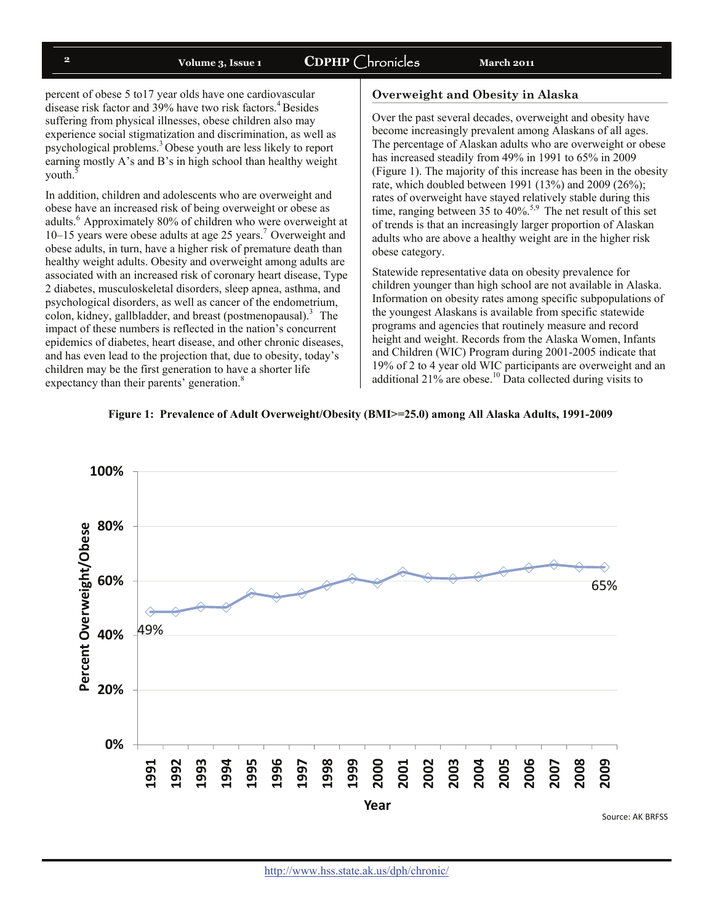# <sup>2</sup> Volume 3, Issue 1 CDPHP Chronicles March 2011

percent of obese 5 to17 year olds have one cardiovascular disease risk factor and 39% have two risk factors.<sup>4</sup> Besides suffering from physical illnesses, obese children also may experience social stigmatization and discrimination, as well as psychological problems.3 Obese youth are less likely to report earning mostly A's and B's in high school than healthy weight youth.<sup>5</sup>

In addition, children and adolescents who are overweight and obese have an increased risk of being overweight or obese as adults.<sup>6</sup> Approximately 80% of children who were overweight at  $10-15$  years were obese adults at age 25 years.<sup>7</sup> Overweight and obese adults, in turn, have a higher risk of premature death than healthy weight adults. Obesity and overweight among adults are associated with an increased risk of coronary heart disease, Type 2 diabetes, musculoskeletal disorders, sleep apnea, asthma, and psychological disorders, as well as cancer of the endometrium, colon, kidney, gallbladder, and breast (postmenopausal).<sup>3</sup> The impact of these numbers is reflected in the nation's concurrent epidemics of diabetes, heart disease, and other chronic diseases, and has even lead to the projection that, due to obesity, today's children may be the first generation to have a shorter life expectancy than their parents' generation.<sup>8</sup>

#### **Overweight and Obesity in Alaska**

Over the past several decades, overweight and obesity have become increasingly prevalent among Alaskans of all ages. The percentage of Alaskan adults who are overweight or obese has increased steadily from 49% in 1991 to 65% in 2009 (Figure 1). The majority of this increase has been in the obesity rate, which doubled between 1991 (13%) and 2009 (26%); rates of overweight have stayed relatively stable during this time, ranging between 35 to 40%.<sup>5,9</sup> The net result of this set of trends is that an increasingly larger proportion of Alaskan adults who are above a healthy weight are in the higher risk obese category.

Statewide representative data on obesity prevalence for children younger than high school are not available in Alaska. Information on obesity rates among specific subpopulations of the youngest Alaskans is available from specific statewide programs and agencies that routinely measure and record height and weight. Records from the Alaska Women, Infants and Children (WIC) Program during 2001-2005 indicate that 19% of 2 to 4 year old WIC participants are overweight and an additional  $21\%$  are obese.<sup>10</sup> Data collected during visits to



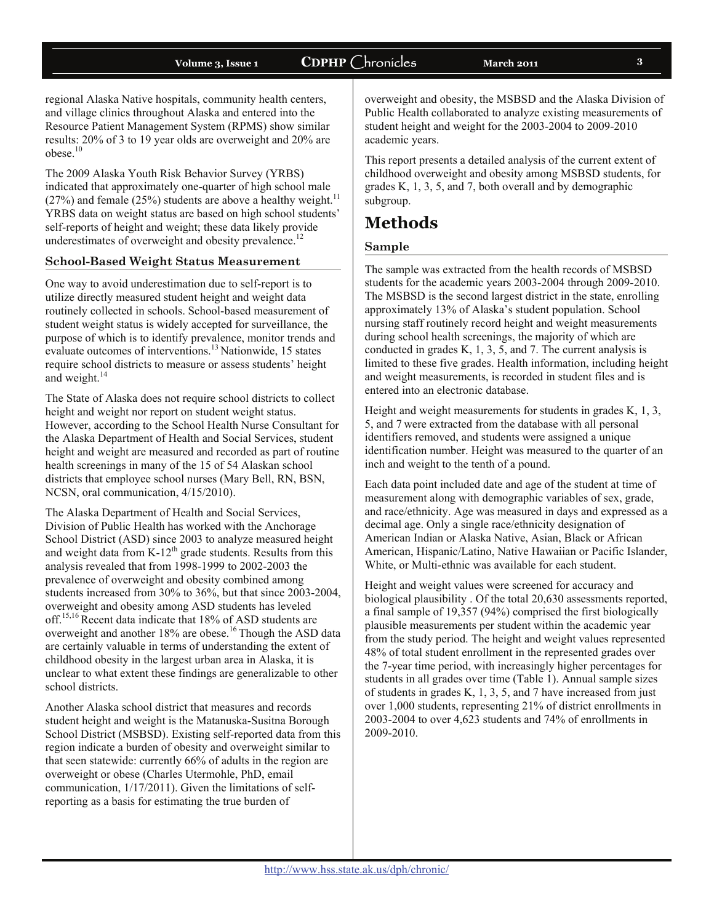## **Volume 3, Issue 1 CDPHP** Chronicles **March 2011 <sup>3</sup>**

regional Alaska Native hospitals, community health centers, and village clinics throughout Alaska and entered into the Resource Patient Management System (RPMS) show similar results: 20% of 3 to 19 year olds are overweight and 20% are  $obese.<sup>10</sup>$ 

The 2009 Alaska Youth Risk Behavior Survey (YRBS) indicated that approximately one-quarter of high school male (27%) and female (25%) students are above a healthy weight.<sup>11</sup> YRBS data on weight status are based on high school students' self-reports of height and weight; these data likely provide underestimates of overweight and obesity prevalence.<sup>12</sup>

### **School-Based Weight Status Measurement**

One way to avoid underestimation due to self-report is to utilize directly measured student height and weight data routinely collected in schools. School-based measurement of student weight status is widely accepted for surveillance, the purpose of which is to identify prevalence, monitor trends and evaluate outcomes of interventions.<sup>13</sup> Nationwide, 15 states require school districts to measure or assess students' height and weight.<sup>14</sup>

The State of Alaska does not require school districts to collect height and weight nor report on student weight status. However, according to the School Health Nurse Consultant for the Alaska Department of Health and Social Services, student height and weight are measured and recorded as part of routine health screenings in many of the 15 of 54 Alaskan school districts that employee school nurses (Mary Bell, RN, BSN, NCSN, oral communication, 4/15/2010).

The Alaska Department of Health and Social Services, Division of Public Health has worked with the Anchorage School District (ASD) since 2003 to analyze measured height and weight data from  $K-12^{th}$  grade students. Results from this analysis revealed that from 1998-1999 to 2002-2003 the prevalence of overweight and obesity combined among students increased from 30% to 36%, but that since 2003-2004, overweight and obesity among ASD students has leveled off.15,16 Recent data indicate that 18% of ASD students are overweight and another 18% are obese.<sup>16</sup> Though the ASD data are certainly valuable in terms of understanding the extent of childhood obesity in the largest urban area in Alaska, it is unclear to what extent these findings are generalizable to other school districts.

Another Alaska school district that measures and records student height and weight is the Matanuska-Susitna Borough School District (MSBSD). Existing self-reported data from this region indicate a burden of obesity and overweight similar to that seen statewide: currently 66% of adults in the region are overweight or obese (Charles Utermohle, PhD, email communication, 1/17/2011). Given the limitations of selfreporting as a basis for estimating the true burden of

overweight and obesity, the MSBSD and the Alaska Division of Public Health collaborated to analyze existing measurements of student height and weight for the 2003-2004 to 2009-2010 academic years.

This report presents a detailed analysis of the current extent of childhood overweight and obesity among MSBSD students, for grades K, 1, 3, 5, and 7, both overall and by demographic subgroup.

# **Methods**

### **Sample**

The sample was extracted from the health records of MSBSD students for the academic years 2003-2004 through 2009-2010. The MSBSD is the second largest district in the state, enrolling approximately 13% of Alaska's student population. School nursing staff routinely record height and weight measurements during school health screenings, the majority of which are conducted in grades K, 1, 3, 5, and 7. The current analysis is limited to these five grades. Health information, including height and weight measurements, is recorded in student files and is entered into an electronic database.

Height and weight measurements for students in grades K, 1, 3, 5, and 7 were extracted from the database with all personal identifiers removed, and students were assigned a unique identification number. Height was measured to the quarter of an inch and weight to the tenth of a pound.

Each data point included date and age of the student at time of measurement along with demographic variables of sex, grade, and race/ethnicity. Age was measured in days and expressed as a decimal age. Only a single race/ethnicity designation of American Indian or Alaska Native, Asian, Black or African American, Hispanic/Latino, Native Hawaiian or Pacific Islander, White, or Multi-ethnic was available for each student.

Height and weight values were screened for accuracy and biological plausibility . Of the total 20,630 assessments reported, a final sample of 19,357 (94%) comprised the first biologically plausible measurements per student within the academic year from the study period. The height and weight values represented 48% of total student enrollment in the represented grades over the 7-year time period, with increasingly higher percentages for students in all grades over time (Table 1). Annual sample sizes of students in grades K, 1, 3, 5, and 7 have increased from just over 1,000 students, representing 21% of district enrollments in 2003-2004 to over 4,623 students and 74% of enrollments in 2009-2010.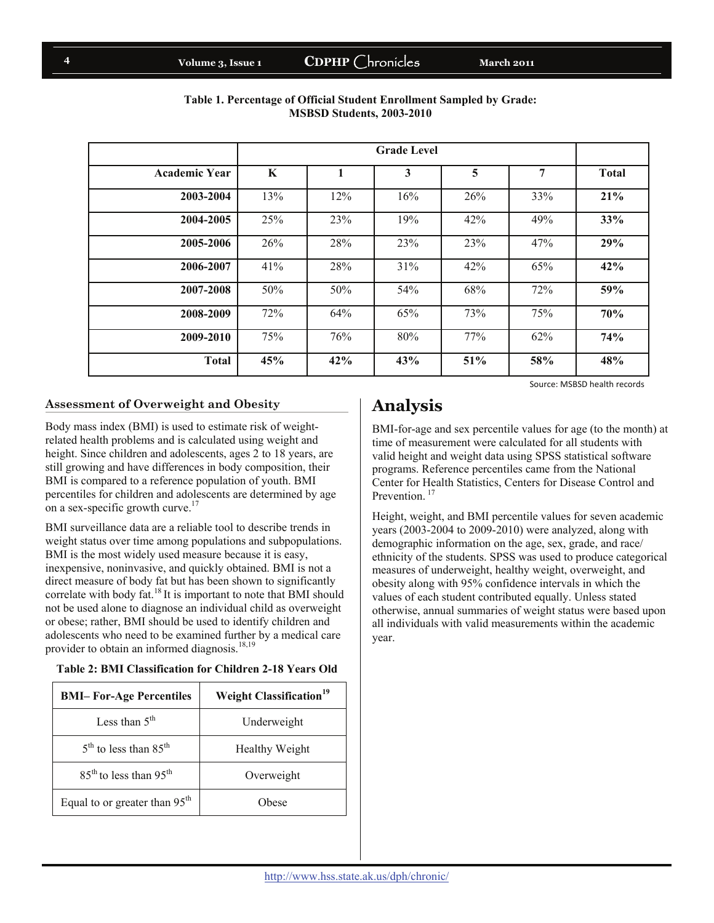# Volume 3, Issue 1 **CDPHP** Chronicles March 2011

| <b>Academic Year</b> | K   |     | 3   | 5   | 7   | <b>Total</b> |
|----------------------|-----|-----|-----|-----|-----|--------------|
| 2003-2004            | 13% | 12% | 16% | 26% | 33% | 21%          |
| 2004-2005            | 25% | 23% | 19% | 42% | 49% | 33%          |
| 2005-2006            | 26% | 28% | 23% | 23% | 47% | 29%          |
| 2006-2007            | 41% | 28% | 31% | 42% | 65% | 42%          |
| 2007-2008            | 50% | 50% | 54% | 68% | 72% | 59%          |
| 2008-2009            | 72% | 64% | 65% | 73% | 75% | 70%          |
| 2009-2010            | 75% | 76% | 80% | 77% | 62% | 74%          |
| <b>Total</b>         | 45% | 42% | 43% | 51% | 58% | 48%          |

### **Table 1. Percentage of Official Student Enrollment Sampled by Grade: MSBSD Students, 2003-2010**

Source: MSBSD health records

## **Assessment of Overweight and Obesity**

Body mass index (BMI) is used to estimate risk of weightrelated health problems and is calculated using weight and height. Since children and adolescents, ages 2 to 18 years, are still growing and have differences in body composition, their BMI is compared to a reference population of youth. BMI percentiles for children and adolescents are determined by age on a sex-specific growth curve.<sup>17</sup>

BMI surveillance data are a reliable tool to describe trends in weight status over time among populations and subpopulations. BMI is the most widely used measure because it is easy, inexpensive, noninvasive, and quickly obtained. BMI is not a direct measure of body fat but has been shown to significantly correlate with body fat. $18$  It is important to note that BMI should not be used alone to diagnose an individual child as overweight or obese; rather, BMI should be used to identify children and adolescents who need to be examined further by a medical care provider to obtain an informed diagnosis. $18,19$ 

#### **Table 2: BMI Classification for Children 2-18 Years Old**

| <b>BMI-For-Age Percentiles</b>       | <b>Weight Classification</b> <sup>19</sup> |  |  |
|--------------------------------------|--------------------------------------------|--|--|
| Less than $5th$                      | Underweight                                |  |  |
| $5th$ to less than 85 <sup>th</sup>  | Healthy Weight                             |  |  |
| $85th$ to less than 95 <sup>th</sup> | Overweight                                 |  |  |
| Equal to or greater than $95th$      | Obese                                      |  |  |

# **Analysis**

BMI-for-age and sex percentile values for age (to the month) at time of measurement were calculated for all students with valid height and weight data using SPSS statistical software programs. Reference percentiles came from the National Center for Health Statistics, Centers for Disease Control and Prevention.<sup>17</sup>

Height, weight, and BMI percentile values for seven academic years (2003-2004 to 2009-2010) were analyzed, along with demographic information on the age, sex, grade, and race/ ethnicity of the students. SPSS was used to produce categorical measures of underweight, healthy weight, overweight, and obesity along with 95% confidence intervals in which the values of each student contributed equally. Unless stated otherwise, annual summaries of weight status were based upon all individuals with valid measurements within the academic year.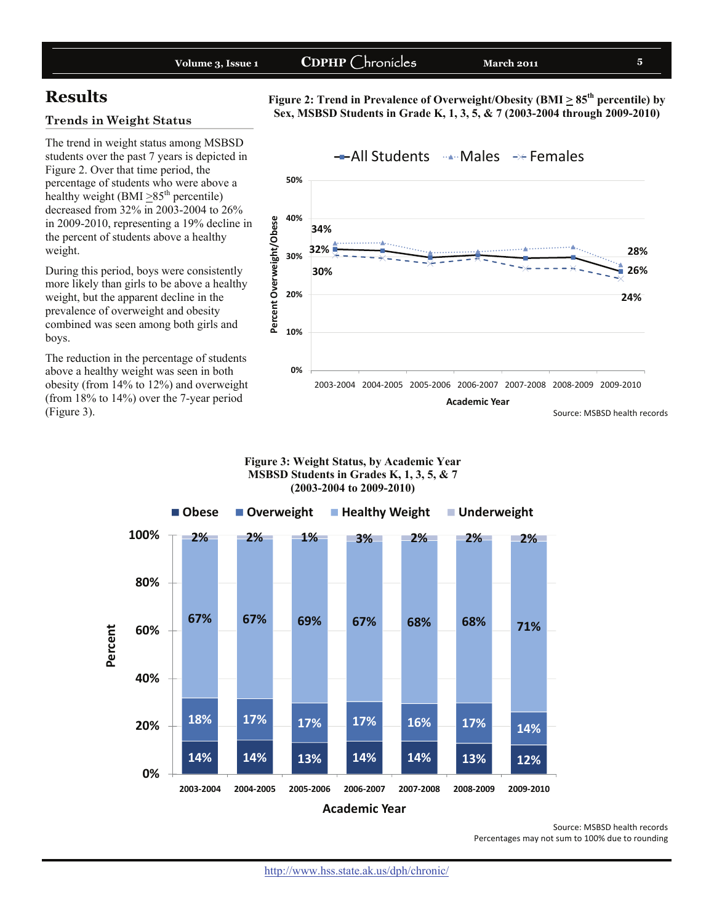|--|

# **Results**

### **Trends in Weight Status**

The trend in weight status among MSBSD students over the past 7 years is depicted in Figure 2. Over that time period, the percentage of students who were above a healthy weight (BMI  $\geq$ 85<sup>th</sup> percentile) decreased from 32% in 2003-2004 to 26% in 2009-2010, representing a 19% decline in the percent of students above a healthy weight.

During this period, boys were consistently more likely than girls to be above a healthy weight, but the apparent decline in the prevalence of overweight and obesity combined was seen among both girls and boys.

The reduction in the percentage of students above a healthy weight was seen in both obesity (from 14% to 12%) and overweight (from 18% to 14%) over the 7-year period (Figure 3).



Figure 2: Trend in Prevalence of Overweight/Obesity (BMI  $\geq 85^{th}$  percentile) by **Sex, MSBSD Students in Grade K, 1, 3, 5, & 7 (2003-2004 through 2009-2010)**

#### **Figure 3: Weight Status, by Academic Year MSBSD Students in Grades K, 1, 3, 5, & 7 (2003-2004 to 2009-2010)**



Source: MSBSD health records Percentages may not sum to 100% due to rounding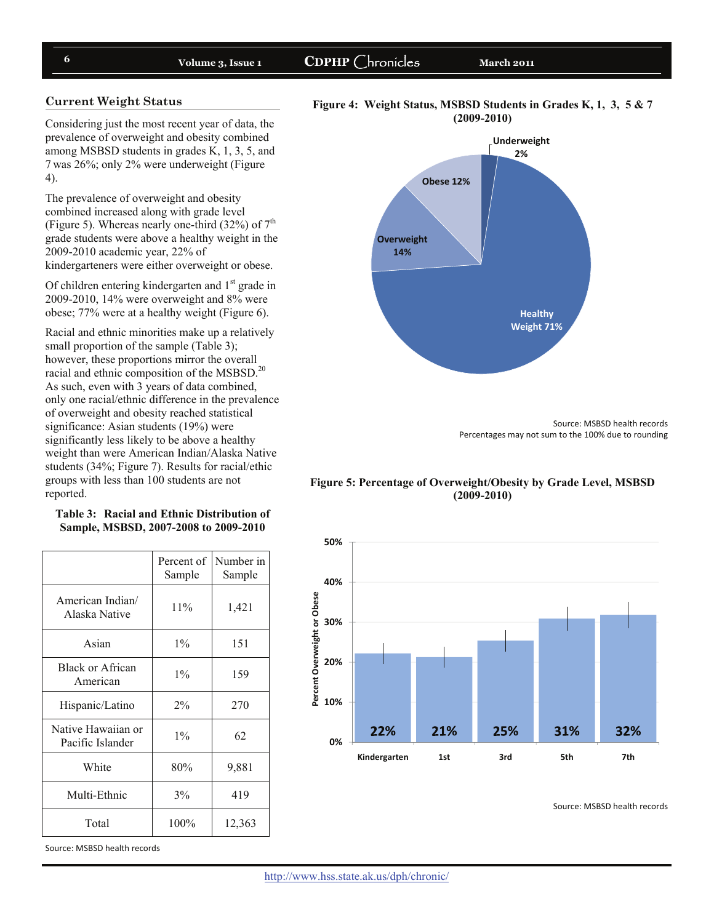# **6** Volume 3, Issue 1 CDPHP Chronicles March 2011

#### **Current Weight Status**

Considering just the most recent year of data, the prevalence of overweight and obesity combined among MSBSD students in grades K, 1, 3, 5, and 7 was 26%; only 2% were underweight (Figure 4).

The prevalence of overweight and obesity combined increased along with grade level (Figure 5). Whereas nearly one-third  $(32\%)$  of  $7<sup>th</sup>$ grade students were above a healthy weight in the 2009-2010 academic year, 22% of kindergarteners were either overweight or obese.

Of children entering kindergarten and  $1<sup>st</sup>$  grade in 2009-2010, 14% were overweight and 8% were obese; 77% were at a healthy weight (Figure 6).

Racial and ethnic minorities make up a relatively small proportion of the sample (Table 3); however, these proportions mirror the overall racial and ethnic composition of the MSBSD.20 As such, even with 3 years of data combined, only one racial/ethnic difference in the prevalence of overweight and obesity reached statistical significance: Asian students (19%) were significantly less likely to be above a healthy weight than were American Indian/Alaska Native students (34%; Figure 7). Results for racial/ethic groups with less than 100 students are not reported.

#### **Table 3: Racial and Ethnic Distribution of Sample, MSBSD, 2007-2008 to 2009-2010**

|                                        | Percent of<br>Sample | Number in<br>Sample |
|----------------------------------------|----------------------|---------------------|
| American Indian/<br>Alaska Native      | 11%                  | 1,421               |
| Asian                                  | $1\%$                | 151                 |
| Black or African<br>American           | $1\%$                | 159                 |
| Hispanic/Latino                        | $2\%$                | 270                 |
| Native Hawaiian or<br>Pacific Islander | $1\%$                | 62                  |
| White                                  | 80%                  | 9,881               |
| Multi-Ethnic                           | 3%                   | 419                 |
| Total                                  | 100%                 | 12,363              |

Source: MSBSD health records





Source: MSBSD health records Percentages may not sum to the 100% due to rounding

**Figure 5: Percentage of Overweight/Obesity by Grade Level, MSBSD (2009-2010)** 



Source: MSBSD health records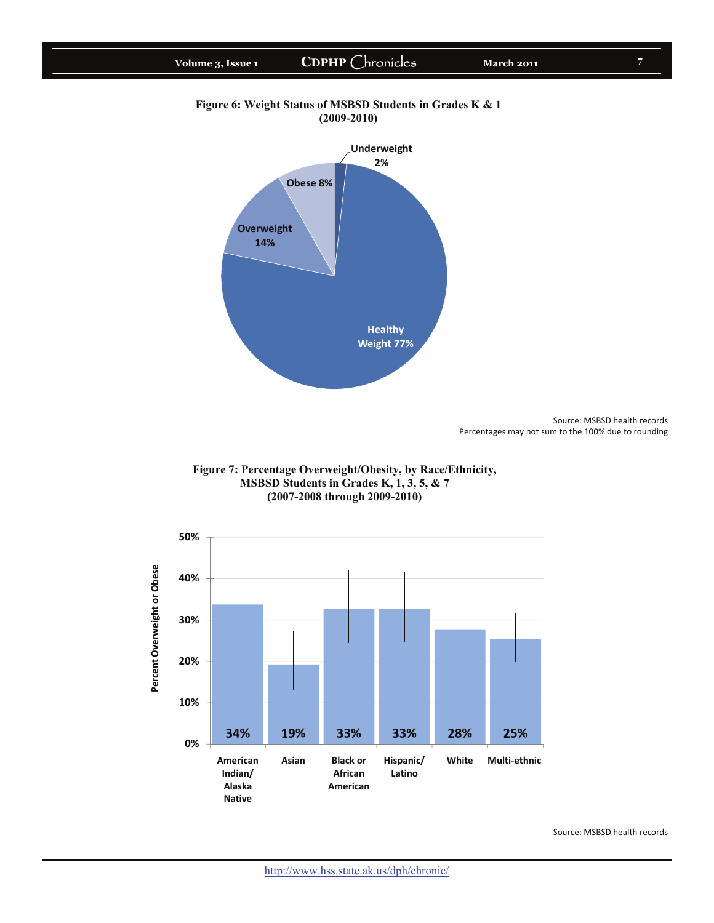



Source: MSBSD health records Percentages may not sum to the 100% due to rounding





Source: MSBSD health records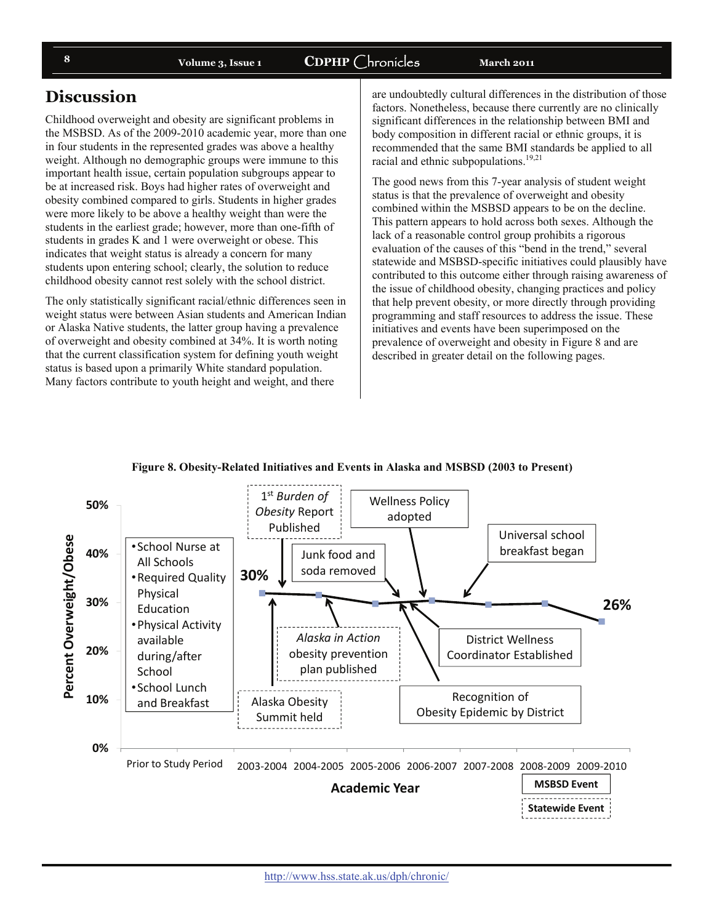# **Volume 3, Issue 1 CDPHP** Chronicles **March 2011 8**

# **Discussion**

Childhood overweight and obesity are significant problems in the MSBSD. As of the 2009-2010 academic year, more than one in four students in the represented grades was above a healthy weight. Although no demographic groups were immune to this important health issue, certain population subgroups appear to be at increased risk. Boys had higher rates of overweight and obesity combined compared to girls. Students in higher grades were more likely to be above a healthy weight than were the students in the earliest grade; however, more than one-fifth of students in grades K and 1 were overweight or obese. This indicates that weight status is already a concern for many students upon entering school; clearly, the solution to reduce childhood obesity cannot rest solely with the school district.

The only statistically significant racial/ethnic differences seen in weight status were between Asian students and American Indian or Alaska Native students, the latter group having a prevalence of overweight and obesity combined at 34%. It is worth noting that the current classification system for defining youth weight status is based upon a primarily White standard population. Many factors contribute to youth height and weight, and there

are undoubtedly cultural differences in the distribution of those factors. Nonetheless, because there currently are no clinically significant differences in the relationship between BMI and body composition in different racial or ethnic groups, it is recommended that the same BMI standards be applied to all racial and ethnic subpopulations. $19,21$ 

The good news from this 7-year analysis of student weight status is that the prevalence of overweight and obesity combined within the MSBSD appears to be on the decline. This pattern appears to hold across both sexes. Although the lack of a reasonable control group prohibits a rigorous evaluation of the causes of this "bend in the trend," several statewide and MSBSD-specific initiatives could plausibly have contributed to this outcome either through raising awareness of the issue of childhood obesity, changing practices and policy that help prevent obesity, or more directly through providing programming and staff resources to address the issue. These initiatives and events have been superimposed on the prevalence of overweight and obesity in Figure 8 and are described in greater detail on the following pages.



**Figure 8. Obesity-Related Initiatives and Events in Alaska and MSBSD (2003 to Present)**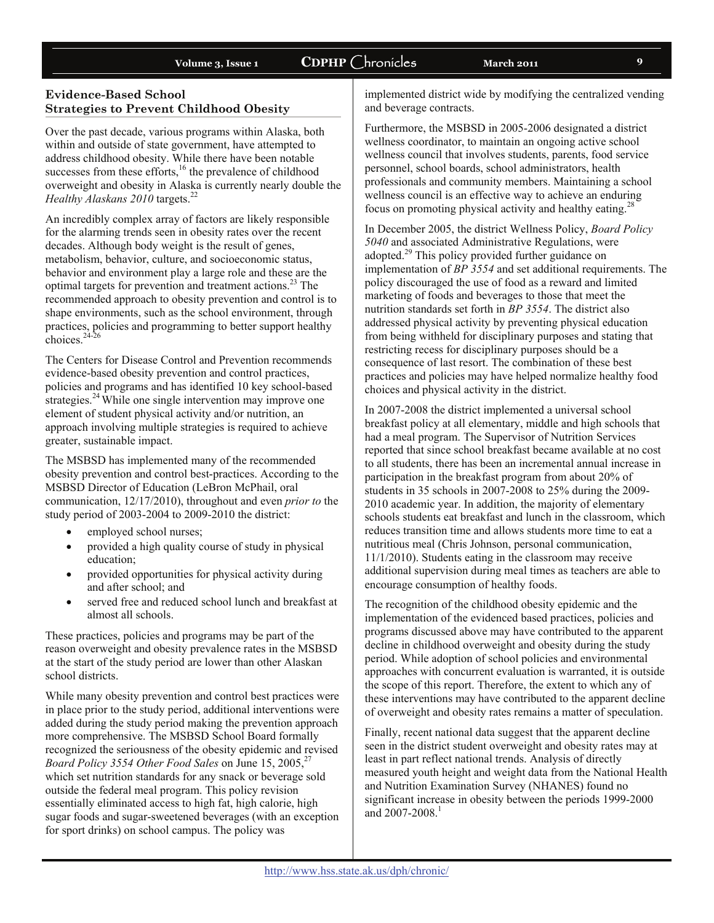## **Evidence-Based School Strategies to Prevent Childhood Obesity**

Over the past decade, various programs within Alaska, both within and outside of state government, have attempted to address childhood obesity. While there have been notable successes from these efforts,<sup>16</sup> the prevalence of childhood overweight and obesity in Alaska is currently nearly double the *Healthy Alaskans 2010* targets.<sup>22</sup>

An incredibly complex array of factors are likely responsible for the alarming trends seen in obesity rates over the recent decades. Although body weight is the result of genes, metabolism, behavior, culture, and socioeconomic status, behavior and environment play a large role and these are the optimal targets for prevention and treatment actions.23 The recommended approach to obesity prevention and control is to shape environments, such as the school environment, through practices, policies and programming to better support healthy choices. $24-26$ 

The Centers for Disease Control and Prevention recommends evidence-based obesity prevention and control practices, policies and programs and has identified 10 key school-based strategies.<sup>24</sup> While one single intervention may improve one element of student physical activity and/or nutrition, an approach involving multiple strategies is required to achieve greater, sustainable impact.

The MSBSD has implemented many of the recommended obesity prevention and control best-practices. According to the MSBSD Director of Education (LeBron McPhail, oral communication, 12/17/2010), throughout and even *prior to* the study period of 2003-2004 to 2009-2010 the district:

- employed school nurses;
- provided a high quality course of study in physical education;
- provided opportunities for physical activity during and after school; and
- served free and reduced school lunch and breakfast at almost all schools.

These practices, policies and programs may be part of the reason overweight and obesity prevalence rates in the MSBSD at the start of the study period are lower than other Alaskan school districts.

While many obesity prevention and control best practices were in place prior to the study period, additional interventions were added during the study period making the prevention approach more comprehensive. The MSBSD School Board formally recognized the seriousness of the obesity epidemic and revised *Board Policy 3554 Other Food Sales* on June 15, 2005,<sup>27</sup> which set nutrition standards for any snack or beverage sold outside the federal meal program. This policy revision essentially eliminated access to high fat, high calorie, high sugar foods and sugar-sweetened beverages (with an exception for sport drinks) on school campus. The policy was

implemented district wide by modifying the centralized vending and beverage contracts.

Furthermore, the MSBSD in 2005-2006 designated a district wellness coordinator, to maintain an ongoing active school wellness council that involves students, parents, food service personnel, school boards, school administrators, health professionals and community members. Maintaining a school wellness council is an effective way to achieve an enduring focus on promoting physical activity and healthy eating.<sup>28</sup>

In December 2005, the district Wellness Policy, *Board Policy 5040* and associated Administrative Regulations, were adopted.29 This policy provided further guidance on implementation of *BP 3554* and set additional requirements. The policy discouraged the use of food as a reward and limited marketing of foods and beverages to those that meet the nutrition standards set forth in *BP 3554*. The district also addressed physical activity by preventing physical education from being withheld for disciplinary purposes and stating that restricting recess for disciplinary purposes should be a consequence of last resort. The combination of these best practices and policies may have helped normalize healthy food choices and physical activity in the district.

In 2007-2008 the district implemented a universal school breakfast policy at all elementary, middle and high schools that had a meal program. The Supervisor of Nutrition Services reported that since school breakfast became available at no cost to all students, there has been an incremental annual increase in participation in the breakfast program from about 20% of students in 35 schools in 2007-2008 to 25% during the 2009- 2010 academic year. In addition, the majority of elementary schools students eat breakfast and lunch in the classroom, which reduces transition time and allows students more time to eat a nutritious meal (Chris Johnson, personal communication, 11/1/2010). Students eating in the classroom may receive additional supervision during meal times as teachers are able to encourage consumption of healthy foods.

The recognition of the childhood obesity epidemic and the implementation of the evidenced based practices, policies and programs discussed above may have contributed to the apparent decline in childhood overweight and obesity during the study period. While adoption of school policies and environmental approaches with concurrent evaluation is warranted, it is outside the scope of this report. Therefore, the extent to which any of these interventions may have contributed to the apparent decline of overweight and obesity rates remains a matter of speculation.

Finally, recent national data suggest that the apparent decline seen in the district student overweight and obesity rates may at least in part reflect national trends. Analysis of directly measured youth height and weight data from the National Health and Nutrition Examination Survey (NHANES) found no significant increase in obesity between the periods 1999-2000 and 2007-2008.<sup>1</sup>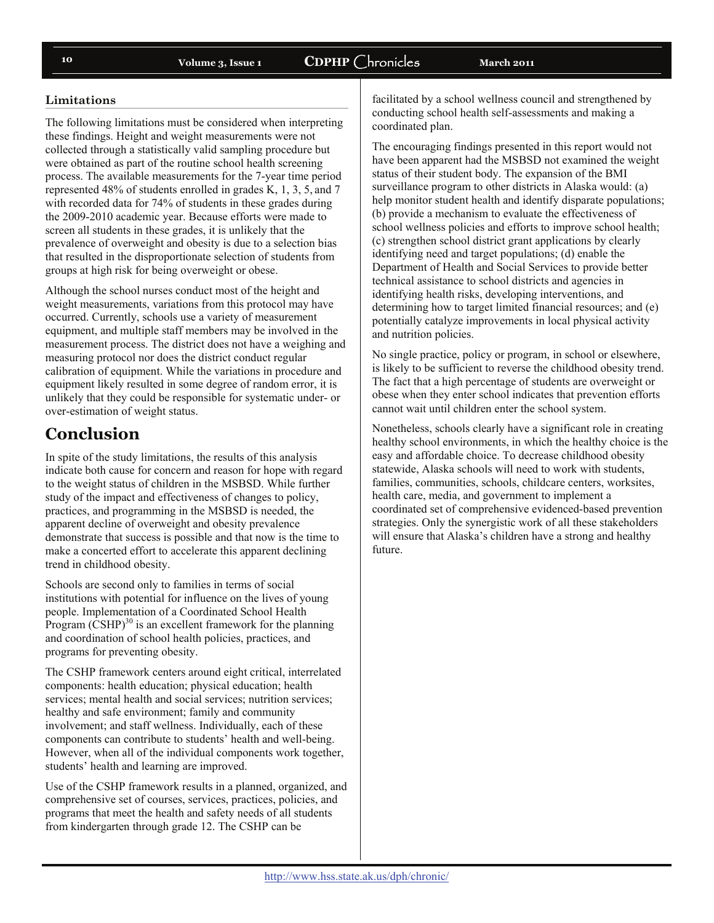### **Limitations**

The following limitations must be considered when interpreting these findings. Height and weight measurements were not collected through a statistically valid sampling procedure but were obtained as part of the routine school health screening process. The available measurements for the 7-year time period represented 48% of students enrolled in grades K, 1, 3, 5, and 7 with recorded data for 74% of students in these grades during the 2009-2010 academic year. Because efforts were made to screen all students in these grades, it is unlikely that the prevalence of overweight and obesity is due to a selection bias that resulted in the disproportionate selection of students from groups at high risk for being overweight or obese.

Although the school nurses conduct most of the height and weight measurements, variations from this protocol may have occurred. Currently, schools use a variety of measurement equipment, and multiple staff members may be involved in the measurement process. The district does not have a weighing and measuring protocol nor does the district conduct regular calibration of equipment. While the variations in procedure and equipment likely resulted in some degree of random error, it is unlikely that they could be responsible for systematic under- or over-estimation of weight status.

# **Conclusion**

In spite of the study limitations, the results of this analysis indicate both cause for concern and reason for hope with regard to the weight status of children in the MSBSD. While further study of the impact and effectiveness of changes to policy, practices, and programming in the MSBSD is needed, the apparent decline of overweight and obesity prevalence demonstrate that success is possible and that now is the time to make a concerted effort to accelerate this apparent declining trend in childhood obesity.

Schools are second only to families in terms of social institutions with potential for influence on the lives of young people. Implementation of a Coordinated School Health Program  $(\text{CSHP})^{30}$  is an excellent framework for the planning and coordination of school health policies, practices, and programs for preventing obesity.

The CSHP framework centers around eight critical, interrelated components: health education; physical education; health services; mental health and social services; nutrition services; healthy and safe environment; family and community involvement; and staff wellness. Individually, each of these components can contribute to students' health and well-being. However, when all of the individual components work together, students' health and learning are improved.

Use of the CSHP framework results in a planned, organized, and comprehensive set of courses, services, practices, policies, and programs that meet the health and safety needs of all students from kindergarten through grade 12. The CSHP can be

facilitated by a school wellness council and strengthened by conducting school health self-assessments and making a coordinated plan.

The encouraging findings presented in this report would not have been apparent had the MSBSD not examined the weight status of their student body. The expansion of the BMI surveillance program to other districts in Alaska would: (a) help monitor student health and identify disparate populations; (b) provide a mechanism to evaluate the effectiveness of school wellness policies and efforts to improve school health; (c) strengthen school district grant applications by clearly identifying need and target populations; (d) enable the Department of Health and Social Services to provide better technical assistance to school districts and agencies in identifying health risks, developing interventions, and determining how to target limited financial resources; and (e) potentially catalyze improvements in local physical activity and nutrition policies.

No single practice, policy or program, in school or elsewhere, is likely to be sufficient to reverse the childhood obesity trend. The fact that a high percentage of students are overweight or obese when they enter school indicates that prevention efforts cannot wait until children enter the school system.

Nonetheless, schools clearly have a significant role in creating healthy school environments, in which the healthy choice is the easy and affordable choice. To decrease childhood obesity statewide, Alaska schools will need to work with students, families, communities, schools, childcare centers, worksites, health care, media, and government to implement a coordinated set of comprehensive evidenced-based prevention strategies. Only the synergistic work of all these stakeholders will ensure that Alaska's children have a strong and healthy future.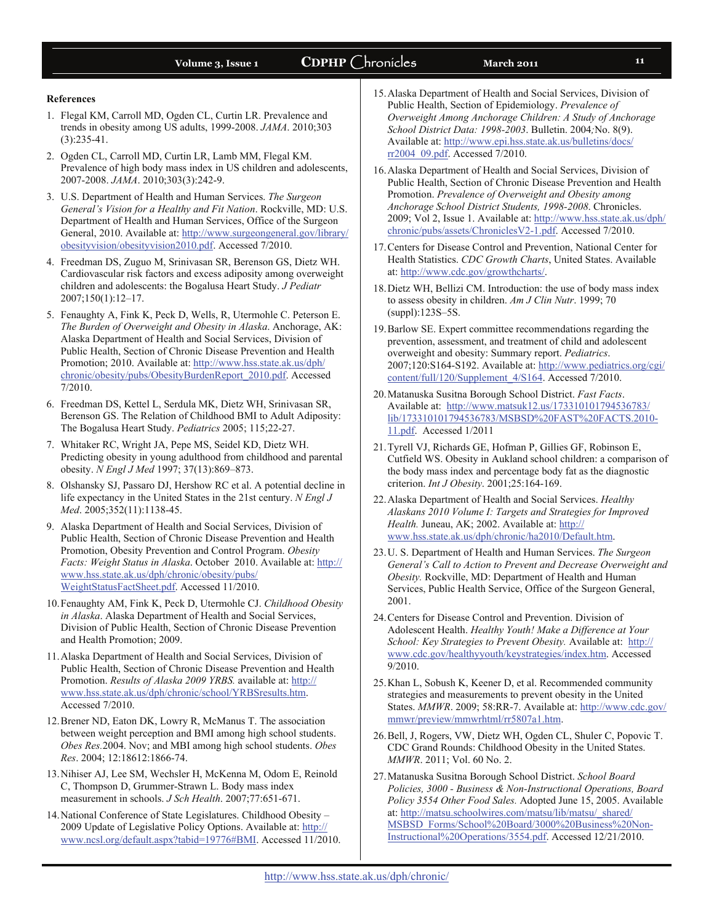# Volume 3, Issue 1 **CDPHP** Chronicles March 2011 **11**

#### **References**

- 1. Flegal KM, Carroll MD, Ogden CL, Curtin LR. Prevalence and trends in obesity among US adults, 1999-2008. *JAMA*. 2010;303 (3):235-41.
- 2. Ogden CL, Carroll MD, Curtin LR, Lamb MM, Flegal KM. Prevalence of high body mass index in US children and adolescents, 2007-2008. *JAMA*. 2010;303(3):242-9.
- 3. U.S. Department of Health and Human Services. *The Surgeon General's Vision for a Healthy and Fit Nation*. Rockville, MD: U.S. Department of Health and Human Services, Office of the Surgeon General, 2010. Available at: [http://www.surgeongeneral.gov/library/](http://www.surgeongeneral.gov/library/obesityvision/obesityvision2010.pdf) [obesityvision/obesityvision2010.pdf.](http://www.surgeongeneral.gov/library/obesityvision/obesityvision2010.pdf) Accessed 7/2010.
- 4. Freedman DS, Zuguo M, Srinivasan SR, Berenson GS, Dietz WH. Cardiovascular risk factors and excess adiposity among overweight children and adolescents: the Bogalusa Heart Study. *J Pediatr*  2007;150(1):12–17.
- 5. Fenaughty A, Fink K, Peck D, Wells, R, Utermohle C. Peterson E. *The Burden of Overweight and Obesity in Alaska*. Anchorage, AK: Alaska Department of Health and Social Services, Division of Public Health, Section of Chronic Disease Prevention and Health Promotion; 2010. Available at: [http://www.hss.state.ak.us/dph/](http://www.hss.state.ak.us/dph/chronic/obesity/pubs/ObesityBurdenReport_2010.pdf) [chronic/obesity/pubs/ObesityBurdenReport\\_2010.pdf.](http://www.hss.state.ak.us/dph/chronic/obesity/pubs/ObesityBurdenReport_2010.pdf) Accessed 7/2010.
- 6. Freedman DS, Kettel L, Serdula MK, Dietz WH, Srinivasan SR, Berenson GS. The Relation of Childhood BMI to Adult Adiposity: The Bogalusa Heart Study. *Pediatrics* 2005; 115;22-27.
- 7. Whitaker RC, Wright JA, Pepe MS, Seidel KD, Dietz WH. Predicting obesity in young adulthood from childhood and parental obesity. *N Engl J Med* 1997; 37(13):869–873.
- 8. Olshansky SJ, Passaro DJ, Hershow RC et al. A potential decline in life expectancy in the United States in the 21st century. *N Engl J Med*. 2005;352(11):1138-45.
- 9. Alaska Department of Health and Social Services, Division of Public Health, Section of Chronic Disease Prevention and Health Promotion, Obesity Prevention and Control Program. *Obesity Facts: Weight Status in Alaska*. October 2010. Available at: [http://](http://www.hss.state.ak.us/dph/chronic/obesity/pubs/WeightStatusFactSheet.pdf) [www.hss.state.ak.us/dph/chronic/obesity/pubs/](http://www.hss.state.ak.us/dph/chronic/obesity/pubs/WeightStatusFactSheet.pdf) [WeightStatusFactSheet.pdf.](http://www.hss.state.ak.us/dph/chronic/obesity/pubs/WeightStatusFactSheet.pdf) Accessed 11/2010.
- 10. Fenaughty AM, Fink K, Peck D, Utermohle CJ. *Childhood Obesity in Alaska*. Alaska Department of Health and Social Services, Division of Public Health, Section of Chronic Disease Prevention and Health Promotion; 2009.
- 11. Alaska Department of Health and Social Services, Division of Public Health, Section of Chronic Disease Prevention and Health Promotion. *Results of Alaska 2009 YRBS.* available at: [http://](http://www.hss.state.ak.us/dph/chronic/school/YRBSresults.htm) [www.hss.state.ak.us/dph/chronic/school/YRBSresults.htm](http://www.hss.state.ak.us/dph/chronic/school/YRBSresults.htm). Accessed 7/2010.
- 12. Brener ND, Eaton DK, Lowry R, McManus T. The association between weight perception and BMI among high school students. *Obes Res.*2004. Nov; and MBI among high school students. *Obes Res*. 2004; 12:18612:1866-74.
- 13. Nihiser AJ, Lee SM, Wechsler H, McKenna M, Odom E, Reinold C, Thompson D, Grummer-Strawn L. Body mass index measurement in schools. *J Sch Health*. 2007;77:651-671.
- 14. National Conference of State Legislatures. Childhood Obesity 2009 Update of Legislative Policy Options. Available at: [http://](http://www.ncsl.org/default.aspx?tabid=19776#BMI) [www.ncsl.org/default.aspx?tabid=19776#BMI.](http://www.ncsl.org/default.aspx?tabid=19776#BMI) Accessed 11/2010.
- 15. Alaska Department of Health and Social Services, Division of Public Health, Section of Epidemiology. *Prevalence of Overweight Among Anchorage Children: A Study of Anchorage School District Data: 1998-2003*. Bulletin. 2004*;*No. 8(9). Available at: [http://www.epi.hss.state.ak.us/bulletins/docs/](http://www.epi.hss.state.ak.us/bulletins/docs/rr2004_09.pdf) [rr2004\\_09.pdf](http://www.epi.hss.state.ak.us/bulletins/docs/rr2004_09.pdf). Accessed 7/2010.
- 16. Alaska Department of Health and Social Services, Division of Public Health, Section of Chronic Disease Prevention and Health Promotion. *Prevalence of Overweight and Obesity among Anchorage School District Students, 1998-2008*. Chronicles. 2009; Vol 2, Issue 1. Available at: [http://www.hss.state.ak.us/dph/](http://www.hss.state.ak.us/dph/chronic/pubs/assets/ChroniclesV2-1.pdf) [chronic/pubs/assets/ChroniclesV2-1.pdf](http://www.hss.state.ak.us/dph/chronic/pubs/assets/ChroniclesV2-1.pdf). Accessed 7/2010.
- 17. Centers for Disease Control and Prevention, National Center for Health Statistics. *CDC Growth Charts*, United States. Available at: <http://www.cdc.gov/growthcharts/>.
- 18. Dietz WH, Bellizi CM. Introduction: the use of body mass index to assess obesity in children. *Am J Clin Nutr*. 1999; 70 (suppl):123S–5S.
- 19. Barlow SE. Expert committee recommendations regarding the prevention, assessment, and treatment of child and adolescent overweight and obesity: Summary report. *Pediatrics*. 2007;120:S164-S192. Available at: [http://www.pediatrics.org/cgi/](http://www.pediatrics.org/cgi/content/full/120/Supplement_4/S164) [content/full/120/Supplement\\_4/S164](http://www.pediatrics.org/cgi/content/full/120/Supplement_4/S164). Accessed 7/2010.
- 20. Matanuska Susitna Borough School District. *Fast Facts*. Available at: [http://www.matsuk12.us/173310101794536783/](http://www.matsuk12.us/173310101794536783/lib/173310101794536783/MSBSD%20FAST%20FACTS.2010-11.pdf) [lib/173310101794536783/MSBSD%20FAST%20FACTS.2010-](http://www.matsuk12.us/173310101794536783/lib/173310101794536783/MSBSD%20FAST%20FACTS.2010-11.pdf) [11.pdf.](http://www.matsuk12.us/173310101794536783/lib/173310101794536783/MSBSD%20FAST%20FACTS.2010-11.pdf) Accessed 1/2011
- 21. Tyrell VJ, Richards GE, Hofman P, Gillies GF, Robinson E, Cutfield WS. Obesity in Aukland school children: a comparison of the body mass index and percentage body fat as the diagnostic criterion. *Int J Obesity*. 2001;25:164-169.
- 22. Alaska Department of Health and Social Services. *Healthy Alaskans 2010 Volume I: Targets and Strategies for Improved Health.* Juneau, AK; 2002. Available at: [http://](http://www.hss.state.ak.us/dph/chronic/ha2010/Default.htm) [www.hss.state.ak.us/dph/chronic/ha2010/Default.htm](http://www.hss.state.ak.us/dph/chronic/ha2010/Default.htm).
- 23. U. S. Department of Health and Human Services. *The Surgeon General's Call to Action to Prevent and Decrease Overweight and Obesity.* Rockville, MD: Department of Health and Human Services, Public Health Service, Office of the Surgeon General, 2001.
- 24. Centers for Disease Control and Prevention. Division of Adolescent Health. *Healthy Youth! Make a Difference at Your School: Key Strategies to Prevent Obesity.* Available at: [http://](http://www.cdc.gov/healthyyouth/keystrategies/index.htm) [www.cdc.gov/healthyyouth/keystrategies/index.htm](http://www.cdc.gov/healthyyouth/keystrategies/index.htm). Accessed 9/2010.
- 25. Khan L, Sobush K, Keener D, et al. Recommended community strategies and measurements to prevent obesity in the United States. *MMWR*. 2009; 58:RR-7. Available at: [http://www.cdc.gov/](http://www.cdc.gov/mmwr/preview/mmwrhtml/rr5807a1.htm) [mmwr/preview/mmwrhtml/rr5807a1.htm](http://www.cdc.gov/mmwr/preview/mmwrhtml/rr5807a1.htm).
- 26. Bell, J, Rogers, VW, Dietz WH, Ogden CL, Shuler C, Popovic T. CDC Grand Rounds: Childhood Obesity in the United States. *MMWR*. 2011; Vol. 60 No. 2.
- 27. Matanuska Susitna Borough School District. *School Board Policies, 3000 - Business & Non-Instructional Operations, Board Policy 3554 Other Food Sales.* Adopted June 15, 2005. Available at: [http://matsu.schoolwires.com/matsu/lib/matsu/\\_shared/](http://matsu.schoolwires.com/matsu/lib/matsu/_shared/MSBSD_Forms/School%20Board/3000%20Business%20Non-Instructional%20Operations/3554.pdf) [MSBSD\\_Forms/School%20Board/3000%20Business%20Non-](http://matsu.schoolwires.com/matsu/lib/matsu/_shared/MSBSD_Forms/School%20Board/3000%20Business%20Non-Instructional%20Operations/3554.pdf)[Instructional%20Operations/3554.pdf.](http://matsu.schoolwires.com/matsu/lib/matsu/_shared/MSBSD_Forms/School%20Board/3000%20Business%20Non-Instructional%20Operations/3554.pdf) Accessed 12/21/2010.